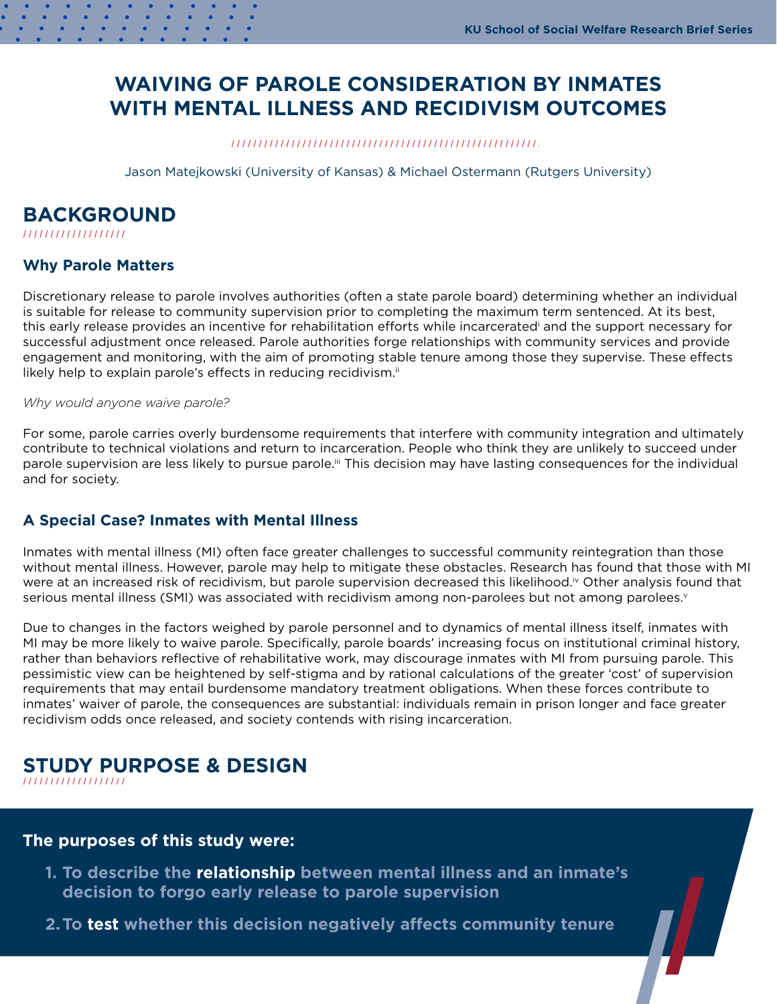# <span id="page-0-0"></span>**WAIVING OF PAROLE CONSIDERATION BY INMATES WITH MENTAL ILLNESS AND RECIDIVISM OUTCOMES**

Jason Matejkowski (University of Kansas) & Michael Ostermann (Rutgers University)

# **BACKGROUND**

### **Why Parole Matters**

Discretionary release to parole involves authorities (often a state parole board) determining whether an individual is suitable for release to community supervision prior to completing the maximum term sentenced. At its best, this early release provides an incentive for rehabilitation efforts while incarcerated[i](#page-2-0) and the support necessary for successful adjustment once released. Parole authorities forge relationships with community services and provide engagement and monitoring, with the aim of promoting stable tenure among those they supervise. These effects likely help to explain parole's effects in reducing recidivism.<sup>[ii](#page-2-0)</sup>

#### *Why would anyone waive parole?*

For some, parole carries overly burdensome requirements that interfere with community integration and ultimately contribute to technical violations and return to incarceration. People who think they are unlikely to succeed under parole supervision are less likely to pursue parole.<sup>ii</sup> This decision may have lasting consequences for the individual and for society.

### **A Special Case? Inmates with Mental Illness**

Inmates with mental illness (MI) often face greater challenges to successful community reintegration than those without mental illness. However, parole may help to mitigate these obstacles. Research has found that those with MI were at an increased risk of recidivism, but parole supervision decreased this likelihood.<sup>iv</sup> Other analysis found that serious mental illness (SMI) was associated with recidi[v](#page-2-0)ism among non-parolees but not among parolees.<sup>v</sup>

Due to changes in the factors weighed by parole personnel and to dynamics of mental illness itself, inmates with MI may be more likely to waive parole. Specifically, parole boards' increasing focus on institutional criminal history, rather than behaviors reflective of rehabilitative work, may discourage inmates with MI from pursuing parole. This pessimistic view can be heightened by self-stigma and by rational calculations of the greater 'cost' of supervision requirements that may entail burdensome mandatory treatment obligations. When these forces contribute to inmates' waiver of parole, the consequences are substantial: individuals remain in prison longer and face greater recidivism odds once released, and society contends with rising incarceration.

# **STUDY PURPOSE & DESIGN**

### **The purposes of this study were:**

- **1. To describe the relationship between mental illness and an inmate's decision to forgo early release to parole supervision**
- **2.To test whether this decision negatively affects community tenure**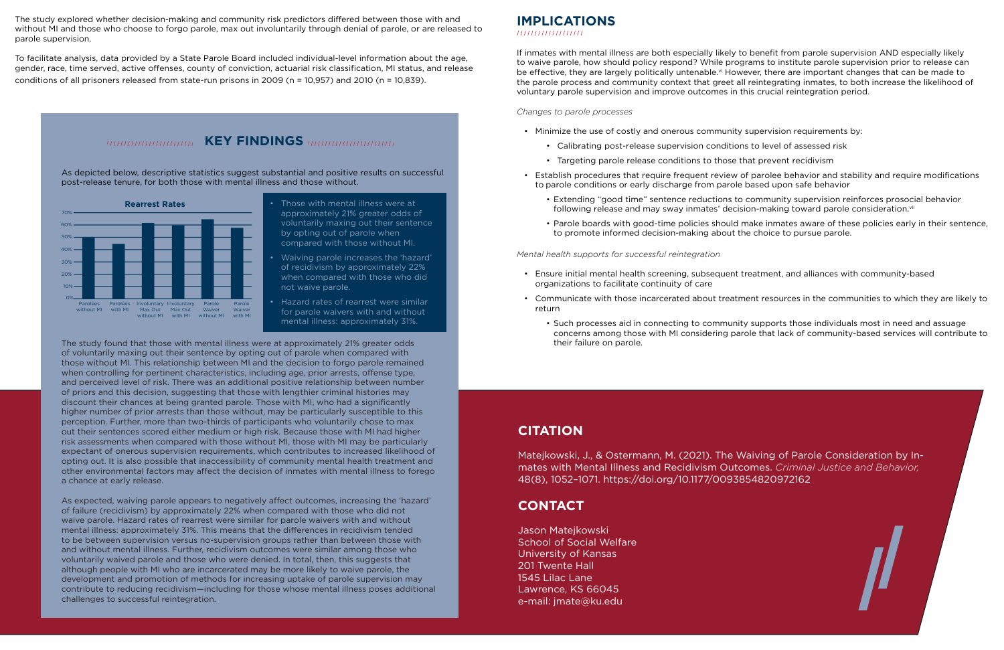# **IMPLICATIONS**

If inmates with mental illness are both especially likely to benefit from parole supervision AND especially likely to waive parole, how should policy respond? While programs to institute parole supervision prior to release can be effective, they are largely politically untenable.<sup>vi</sup> However, there are important changes that can be made to the parole process and community context that greet all reintegrating inmates, to both increase the likelihood of voluntary parole supervision and improve outcomes in this crucial reintegration period.

### *Changes to parole processes*

• Establish procedures that require frequent review of parolee behavior and stability and require modifications

- Minimize the use of costly and onerous community supervision requirements by:
	- Calibrating post-release supervision conditions to level of assessed risk
	- Targeting parole release conditions to those that prevent recidivism
- to parole conditions or early discharge from parole based upon safe behavior
	- following release and may sway inmates' decision-making toward parole consideration. [vii](#page-2-0)
	- to promote informed decision-making about the choice to pursue parole.

• Extending "good time" sentence reductions to community supervision reinforces prosocial behavior

• Parole boards with good-time policies should make inmates aware of these policies early in their sentence,

### *Mental health supports for successful reintegration*

• Communicate with those incarcerated about treatment resources in the communities to which they are likely to

- Ensure initial mental health screening, subsequent treatment, and alliances with community-based organizations to facilitate continuity of care
- return
	- their failure on parole.

• Such processes aid in connecting to community supports those individuals most in need and assuage concerns among those with MI considering parole that lack of community-based services will contribute to

### **CITATION**

Matejkowski, J., & Ostermann, M. (2021). The Waiving of Parole Consideration by Inmates with Mental Illness and Recidivism Outcomes. *Criminal Justice and Behavior,*  48(8), 1052–1071. <https://doi.org/10.1177/0093854820972162>

### **CONTACT**

Jason Matejkowski School of Social Welfare University of Kansas 201 Twente Hall 1545 Lilac Lane Lawrence, KS 66045 e-mail: [jmate@ku.edu](mailto:jmate%40ku.edu?subject=)

<span id="page-1-0"></span>The study explored whether decision-making and community risk predictors differed between those with and without MI and those who choose to forgo parole, max out involuntarily through denial of parole, or are released to parole supervision.

To facilitate analysis, data provided by a State Parole Board included individual-level information about the age, gender, race, time served, active offenses, county of conviction, actuarial risk classification, MI status, and release conditions of all prisoners released from state-run prisons in 2009 (n = 10,957) and 2010 (n = 10,839).

## **KEY FINDINGS** *International Key FINDINGS*

The study found that those with mental illness were at approximately 21% greater odds of voluntarily maxing out their sentence by opting out of parole when compared with those without MI. This relationship between MI and the decision to forgo parole remained when controlling for pertinent characteristics, including age, prior arrests, offense type, and perceived level of risk. There was an additional positive relationship between number of priors and this decision, suggesting that those with lengthier criminal histories may discount their chances at being granted parole. Those with MI, who had a significantly higher number of prior arrests than those without, may be particularly susceptible to this perception. Further, more than two-thirds of participants who voluntarily chose to max out their sentences scored either medium or high risk. Because those with MI had higher risk assessments when compared with those without MI, those with MI may be particularly expectant of onerous supervision requirements, which contributes to increased likelihood of opting out. It is also possible that inaccessibility of community mental health treatment and other environmental factors may affect the decision of inmates with mental illness to forego a chance at early release.

As expected, waiving parole appears to negatively affect outcomes, increasing the 'hazard' of failure (recidivism) by approximately 22% when compared with those who did not waive parole. Hazard rates of rearrest were similar for parole waivers with and without mental illness: approximately 31%. This means that the differences in recidivism tended to be between supervision versus no-supervision groups rather than between those with and without mental illness. Further, recidivism outcomes were similar among those who voluntarily waived parole and those who were denied. In total, then, this suggests that although people with MI who are incarcerated may be more likely to waive parole, the development and promotion of methods for increasing uptake of parole supervision may contribute to reducing recidivism—including for those whose mental illness poses additional challenges to successful reintegration.



As depicted below, descriptive statistics suggest substantial and positive results on successful post-release tenure, for both those with mental illness and those without.

- approximately 21% greater odds of voluntarily maxing out their sentence by opting out of parole when compared with those without MI.
- Waiving parole increases the 'hazard' of recidivism by approximately 22% when compared with those who did not waive parole.
- Hazard rates of rearrest were similar for parole waivers with and without mental illness: approximately 31%.